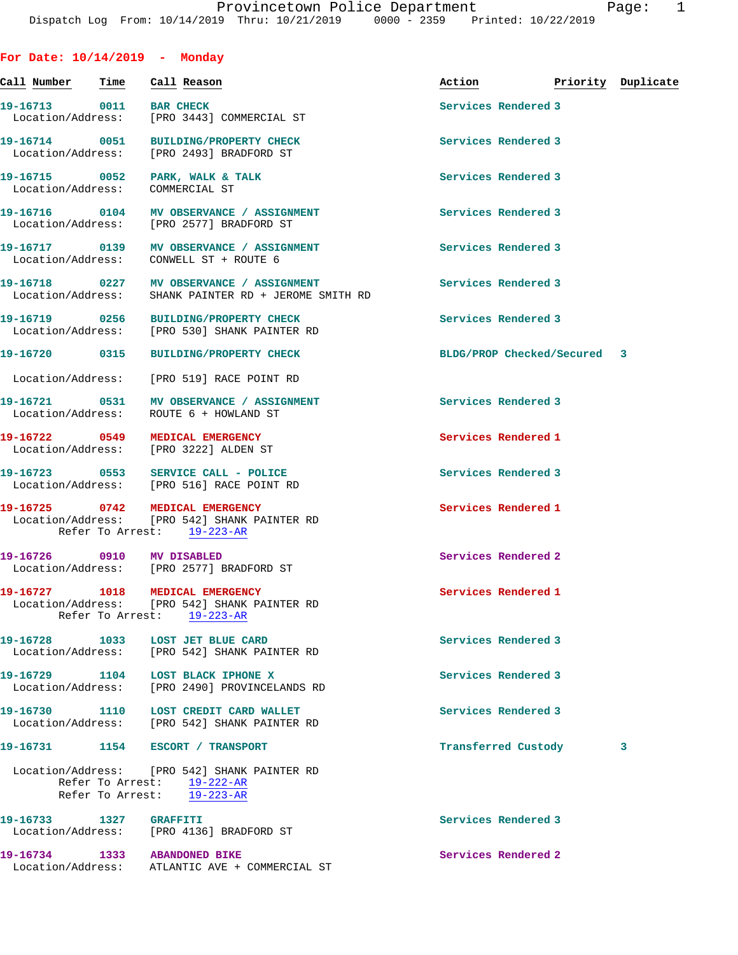| For Date: $10/14/2019$ - Monday |      |                                                                                                               |                             |                    |   |
|---------------------------------|------|---------------------------------------------------------------------------------------------------------------|-----------------------------|--------------------|---|
| Call Number                     | Time | Call Reason                                                                                                   | Action                      | Priority Duplicate |   |
| 19-16713 0011                   |      | <b>BAR CHECK</b><br>Location/Address: [PRO 3443] COMMERCIAL ST                                                | Services Rendered 3         |                    |   |
|                                 |      | 19-16714 0051 BUILDING/PROPERTY CHECK<br>Location/Address: [PRO 2493] BRADFORD ST                             | Services Rendered 3         |                    |   |
|                                 |      | 19-16715 0052 PARK, WALK & TALK<br>Location/Address: COMMERCIAL ST                                            | Services Rendered 3         |                    |   |
|                                 |      | 19-16716 0104 MV OBSERVANCE / ASSIGNMENT<br>Location/Address: [PRO 2577] BRADFORD ST                          | Services Rendered 3         |                    |   |
|                                 |      | 19-16717 0139 MV OBSERVANCE / ASSIGNMENT<br>Location/Address: CONWELL ST + ROUTE 6                            | Services Rendered 3         |                    |   |
|                                 |      | 19-16718 0227 MV OBSERVANCE / ASSIGNMENT<br>Location/Address: SHANK PAINTER RD + JEROME SMITH RD              | Services Rendered 3         |                    |   |
|                                 |      | 19-16719 0256 BUILDING/PROPERTY CHECK<br>Location/Address: [PRO 530] SHANK PAINTER RD                         | Services Rendered 3         |                    |   |
| 19-16720 0315                   |      | <b>BUILDING/PROPERTY CHECK</b>                                                                                | BLDG/PROP Checked/Secured 3 |                    |   |
|                                 |      | Location/Address: [PRO 519] RACE POINT RD                                                                     |                             |                    |   |
|                                 |      | 19-16721 0531 MV OBSERVANCE / ASSIGNMENT<br>Location/Address: ROUTE 6 + HOWLAND ST                            | Services Rendered 3         |                    |   |
|                                 |      | 19-16722 0549 MEDICAL EMERGENCY<br>Location/Address: [PRO 3222] ALDEN ST                                      | Services Rendered 1         |                    |   |
|                                 |      | 19-16723 0553 SERVICE CALL - POLICE<br>Location/Address: [PRO 516] RACE POINT RD                              | Services Rendered 3         |                    |   |
| 19-16725 0742                   |      | MEDICAL EMERGENCY<br>Location/Address: [PRO 542] SHANK PAINTER RD<br>Refer To Arrest: 19-223-AR               | Services Rendered 1         |                    |   |
| 19-16726 0910 MV DISABLED       |      | Location/Address: [PRO 2577] BRADFORD ST                                                                      | Services Rendered 2         |                    |   |
|                                 |      | 19-16727 1018 MEDICAL EMERGENCY<br>Location/Address: [PRO 542] SHANK PAINTER RD<br>Refer To Arrest: 19-223-AR | Services Rendered 1         |                    |   |
|                                 |      | 19-16728 1033 LOST JET BLUE CARD<br>Location/Address: [PRO 542] SHANK PAINTER RD                              | Services Rendered 3         |                    |   |
|                                 |      | 19-16729 1104 LOST BLACK IPHONE X<br>Location/Address: [PRO 2490] PROVINCELANDS RD                            | Services Rendered 3         |                    |   |
|                                 |      | 19-16730 1110 LOST CREDIT CARD WALLET<br>Location/Address: [PRO 542] SHANK PAINTER RD                         | Services Rendered 3         |                    |   |
|                                 |      | 19-16731 1154 ESCORT / TRANSPORT                                                                              | Transferred Custody         |                    | 3 |
|                                 |      | Location/Address: [PRO 542] SHANK PAINTER RD<br>Refer To Arrest: $19-222-AR$<br>Refer To Arrest: 19-223-AR    |                             |                    |   |
| 19-16733 1327                   |      | <b>GRAFFITI</b><br>Location/Address: [PRO 4136] BRADFORD ST                                                   | Services Rendered 3         |                    |   |
|                                 |      | 19-16734 1333 ABANDONED BIKE                                                                                  | Services Rendered 2         |                    |   |

Location/Address: ATLANTIC AVE + COMMERCIAL ST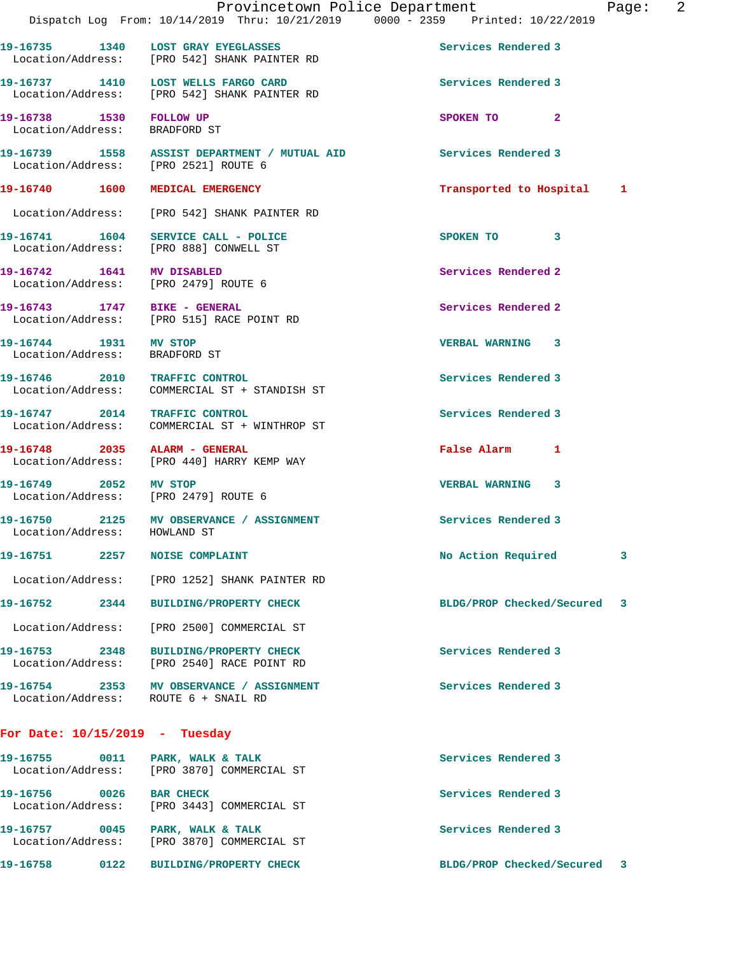|                                                                   | Provincetown Police Department<br>Dispatch Log From: 10/14/2019 Thru: 10/21/2019 0000 - 2359 Printed: 10/22/2019 |                            | Page: | $\overline{\phantom{0}}^2$ |
|-------------------------------------------------------------------|------------------------------------------------------------------------------------------------------------------|----------------------------|-------|----------------------------|
|                                                                   |                                                                                                                  |                            |       |                            |
|                                                                   | 19-16735 1340 LOST GRAY EYEGLASSES<br>Location/Address: [PRO 542] SHANK PAINTER RD                               | Services Rendered 3        |       |                            |
|                                                                   | 19-16737 1410 LOST WELLS FARGO CARD<br>Location/Address: [PRO 542] SHANK PAINTER RD                              | Services Rendered 3        |       |                            |
| 19-16738 1530 FOLLOW UP<br>Location/Address: BRADFORD ST          |                                                                                                                  | SPOKEN TO 2                |       |                            |
| Location/Address: [PRO 2521] ROUTE 6                              | 19-16739 1558 ASSIST DEPARTMENT / MUTUAL AID                                                                     | Services Rendered 3        |       |                            |
|                                                                   | 19-16740 1600 MEDICAL EMERGENCY                                                                                  | Transported to Hospital 1  |       |                            |
|                                                                   | Location/Address: [PRO 542] SHANK PAINTER RD                                                                     |                            |       |                            |
|                                                                   | 19-16741  1604 SERVICE CALL - POLICE<br>Location/Address: [PRO 888] CONWELL ST                                   | SPOKEN TO 3                |       |                            |
| 19-16742 1641 MV DISABLED<br>Location/Address: [PRO 2479] ROUTE 6 |                                                                                                                  | Services Rendered 2        |       |                            |
| 19-16743 1747 BIKE - GENERAL                                      | Location/Address: [PRO 515] RACE POINT RD                                                                        | Services Rendered 2        |       |                            |
| 19-16744 1931 MV STOP<br>Location/Address: BRADFORD ST            |                                                                                                                  | <b>VERBAL WARNING 3</b>    |       |                            |
| 19-16746 2010 TRAFFIC CONTROL                                     | Location/Address: COMMERCIAL ST + STANDISH ST                                                                    | Services Rendered 3        |       |                            |
| 19-16747 2014 TRAFFIC CONTROL                                     | Location/Address: COMMERCIAL ST + WINTHROP ST                                                                    | Services Rendered 3        |       |                            |
|                                                                   | 19-16748 2035 ALARM - GENERAL<br>Location/Address: [PRO 440] HARRY KEMP WAY                                      | False Alarm 1              |       |                            |
| 19-16749 2052 MV STOP<br>Location/Address: [PRO 2479] ROUTE 6     |                                                                                                                  | <b>VERBAL WARNING 3</b>    |       |                            |
| Location/Address: HOWLAND ST                                      | 19-16750 2125 MV OBSERVANCE / ASSIGNMENT                                                                         | <b>Services Rendered 3</b> |       |                            |
| 19-16751                                                          | 2257 NOISE COMPLAINT                                                                                             | No Action Required         | 3     |                            |
|                                                                   | Location/Address: [PRO 1252] SHANK PAINTER RD                                                                    |                            |       |                            |
| 19-16752<br>2344                                                  | <b>BUILDING/PROPERTY CHECK</b>                                                                                   | BLDG/PROP Checked/Secured  | 3     |                            |
|                                                                   | Location/Address: [PRO 2500] COMMERCIAL ST                                                                       |                            |       |                            |
| 19-16753 2348                                                     | <b>BUILDING/PROPERTY CHECK</b><br>Location/Address: [PRO 2540] RACE POINT RD                                     | Services Rendered 3        |       |                            |
| Location/Address: ROUTE 6 + SNAIL RD                              | 19-16754 2353 MV OBSERVANCE / ASSIGNMENT                                                                         | Services Rendered 3        |       |                            |
| For Date: $10/15/2019$ - Tuesday                                  |                                                                                                                  |                            |       |                            |
| 19-16755 0011 PARK, WALK & TALK                                   | Location/Address: [PRO 3870] COMMERCIAL ST                                                                       | Services Rendered 3        |       |                            |
| 19-16756 0026                                                     | <b>BAR CHECK</b><br>Location/Address: [PRO 3443] COMMERCIAL ST                                                   | Services Rendered 3        |       |                            |
|                                                                   |                                                                                                                  |                            |       |                            |

**19-16757 0045 PARK, WALK & TALK Services Rendered 3**  Location/Address: [PRO 3870] COMMERCIAL ST

**19-16758 0122 BUILDING/PROPERTY CHECK BLDG/PROP Checked/Secured 3**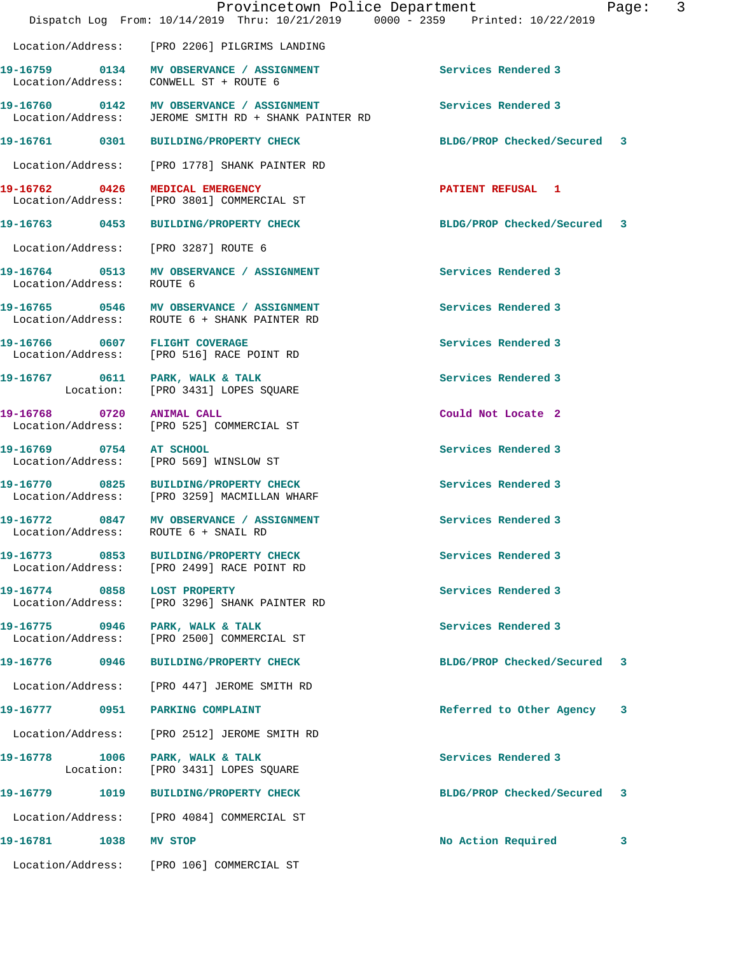|                                    | Provincetown Police Department<br>Dispatch Log From: 10/14/2019 Thru: 10/21/2019 0000 - 2359 Printed: 10/22/2019 |                             | Page: | 3 |
|------------------------------------|------------------------------------------------------------------------------------------------------------------|-----------------------------|-------|---|
|                                    | Location/Address: [PRO 2206] PILGRIMS LANDING                                                                    |                             |       |   |
|                                    | 19-16759 0134 MV OBSERVANCE / ASSIGNMENT<br>Location/Address: CONWELL ST + ROUTE 6                               | Services Rendered 3         |       |   |
|                                    | 19-16760 0142 MV OBSERVANCE / ASSIGNMENT<br>Location/Address: JEROME SMITH RD + SHANK PAINTER RD                 | Services Rendered 3         |       |   |
|                                    | 19-16761  0301 BUILDING/PROPERTY CHECK                                                                           | BLDG/PROP Checked/Secured 3 |       |   |
| Location/Address:                  | [PRO 1778] SHANK PAINTER RD                                                                                      |                             |       |   |
| 19-16762 0426                      | MEDICAL EMERGENCY<br>Location/Address: [PRO 3801] COMMERCIAL ST                                                  | <b>PATIENT REFUSAL 1</b>    |       |   |
|                                    | 19-16763 0453 BUILDING/PROPERTY CHECK                                                                            | BLDG/PROP Checked/Secured 3 |       |   |
| Location/Address:                  | [PRO 3287] ROUTE 6                                                                                               |                             |       |   |
| Location/Address: ROUTE 6          | 19-16764 0513 MV OBSERVANCE / ASSIGNMENT                                                                         | Services Rendered 3         |       |   |
|                                    | 19-16765 0546 MV OBSERVANCE / ASSIGNMENT<br>Location/Address: ROUTE 6 + SHANK PAINTER RD                         | Services Rendered 3         |       |   |
| 19-16766 0607 FLIGHT COVERAGE      | Location/Address: [PRO 516] RACE POINT RD                                                                        | Services Rendered 3         |       |   |
|                                    | 19-16767 0611 PARK, WALK & TALK<br>Location: [PRO 3431] LOPES SQUARE                                             | Services Rendered 3         |       |   |
| 19-16768 0720                      | <b>ANIMAL CALL</b><br>Location/Address: [PRO 525] COMMERCIAL ST                                                  | Could Not Locate 2          |       |   |
| 19-16769 0754 AT SCHOOL            | Location/Address: [PRO 569] WINSLOW ST                                                                           | Services Rendered 3         |       |   |
|                                    | 19-16770 0825 BUILDING/PROPERTY CHECK<br>Location/Address: [PRO 3259] MACMILLAN WHARF                            | Services Rendered 3         |       |   |
| Location/Address:                  | 19-16772 0847 MV OBSERVANCE / ASSIGNMENT<br>ROUTE 6 + SNAIL RD                                                   | Services Rendered 3         |       |   |
| 19-16773 0853<br>Location/Address: | <b>BUILDING/PROPERTY CHECK</b><br>[PRO 2499] RACE POINT RD                                                       | Services Rendered 3         |       |   |
| 19-16774 0858<br>Location/Address: | <b>LOST PROPERTY</b><br>[PRO 3296] SHANK PAINTER RD                                                              | Services Rendered 3         |       |   |
| 19-16775 0946<br>Location/Address: | PARK, WALK & TALK<br>[PRO 2500] COMMERCIAL ST                                                                    | Services Rendered 3         |       |   |
| 19-16776<br>0946                   | <b>BUILDING/PROPERTY CHECK</b>                                                                                   | BLDG/PROP Checked/Secured   | 3     |   |
| Location/Address:                  | [PRO 447] JEROME SMITH RD                                                                                        |                             |       |   |
| 19-16777<br>0951                   | PARKING COMPLAINT                                                                                                | Referred to Other Agency    | 3     |   |
| Location/Address:                  | [PRO 2512] JEROME SMITH RD                                                                                       |                             |       |   |
| 19-16778<br>1006<br>Location:      | PARK, WALK & TALK<br>[PRO 3431] LOPES SQUARE                                                                     | Services Rendered 3         |       |   |
| 19-16779<br>1019                   | <b>BUILDING/PROPERTY CHECK</b>                                                                                   | BLDG/PROP Checked/Secured   | 3     |   |
| Location/Address:                  | [PRO 4084] COMMERCIAL ST                                                                                         |                             |       |   |
| 19-16781<br>1038                   | MV STOP                                                                                                          | No Action Required          | 3     |   |
| Location/Address:                  | [PRO 106] COMMERCIAL ST                                                                                          |                             |       |   |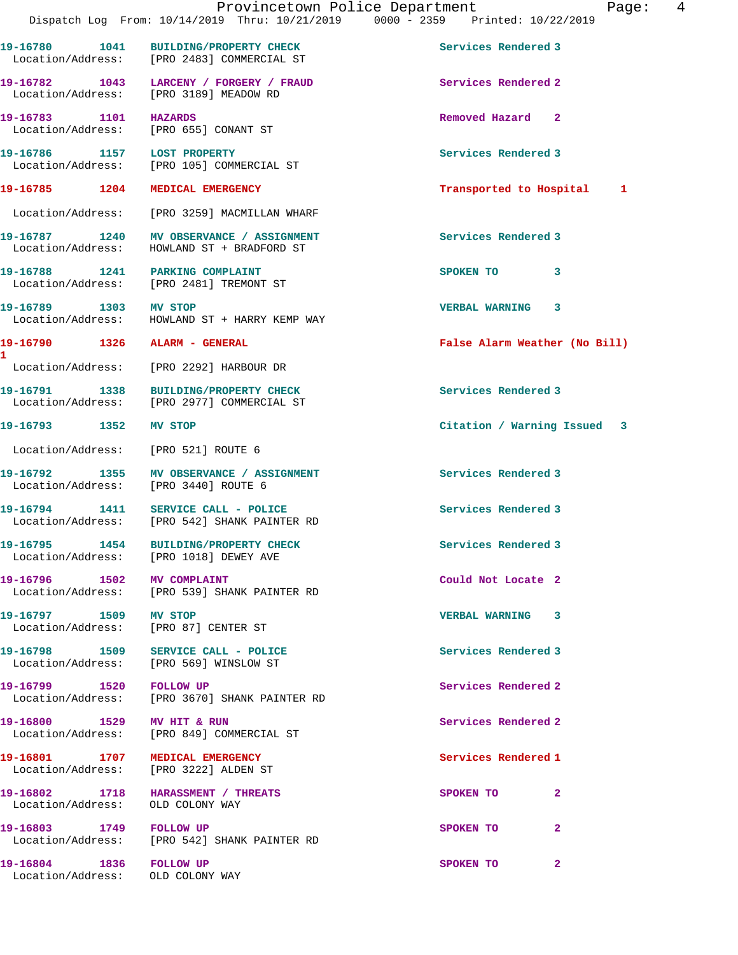**19-16780 1041 BUILDING/PROPERTY CHECK Services Rendered 3** 

**1** 

 Location/Address: [PRO 2483] COMMERCIAL ST **19-16782 1043 LARCENY / FORGERY / FRAUD Services Rendered 2**  Location/Address: [PRO 3189] MEADOW RD **19-16783 1101 HAZARDS Removed Hazard 2**  Location/Address: [PRO 655] CONANT ST **19-16786 1157 LOST PROPERTY Services Rendered 3**  Location/Address: [PRO 105] COMMERCIAL ST **19-16785 1204 MEDICAL EMERGENCY Transported to Hospital 1** Location/Address: [PRO 3259] MACMILLAN WHARF 19-16787 1240 MV OBSERVANCE / ASSIGNMENT **Services Rendered 3**  Location/Address: HOWLAND ST + BRADFORD ST **19-16788 1241 PARKING COMPLAINT SPOKEN TO** 3 Location/Address: [PRO 2481] TREMONT ST **19-16789 1303 MV STOP VERBAL WARNING 3**  Location/Address: HOWLAND ST + HARRY KEMP WAY **19-16790 1326 ALARM - GENERAL False Alarm Weather (No Bill)** Location/Address: [PRO 2292] HARBOUR DR **19-16791 1338 BUILDING/PROPERTY CHECK Services Rendered 3**  Location/Address: [PRO 2977] COMMERCIAL ST **19-16793 1352 MV STOP Citation / Warning Issued 3** Location/Address: [PRO 521] ROUTE 6 **19-16792 1355 MV OBSERVANCE / ASSIGNMENT Services Rendered 3**  Location/Address: [PRO 3440] ROUTE 6 19-16794 1411 SERVICE CALL - POLICE **Services Rendered 3**<br>
Location/Address: [PRO 542] SHANK PAINTER RD [PRO 542] SHANK PAINTER RD **19-16795 1454 BUILDING/PROPERTY CHECK Services Rendered 3**  Location/Address: [PRO 1018] DEWEY AVE **19-16796 1502 MV COMPLAINT Could Not Locate 2**  Location/Address: [PRO 539] SHANK PAINTER RD **19-16797 1509 MV STOP VERBAL WARNING 3**  Location/Address: [PRO 87] CENTER ST **19-16798 1509 SERVICE CALL - POLICE Services Rendered 3**  Location/Address: [PRO 569] WINSLOW ST **19-16799 1520 FOLLOW UP Services Rendered 2**  [PRO 3670] SHANK PAINTER RD **19-16800 1529 MV HIT & RUN Services Rendered 2**  Location/Address: [PRO 849] COMMERCIAL ST **19-16801 1707 MEDICAL EMERGENCY Services Rendered 1**  Location/Address: [PRO 3222] ALDEN ST **19-16802 1718 HARASSMENT / THREATS SPOKEN TO 2**  Location/Address: OLD COLONY WAY **19-16803 1749 FOLLOW UP SPOKEN TO 2**  Location/Address: [PRO 542] SHANK PAINTER RD **19-16804 1836 FOLLOW UP SPOKEN TO 2**  Location/Address: OLD COLONY WAY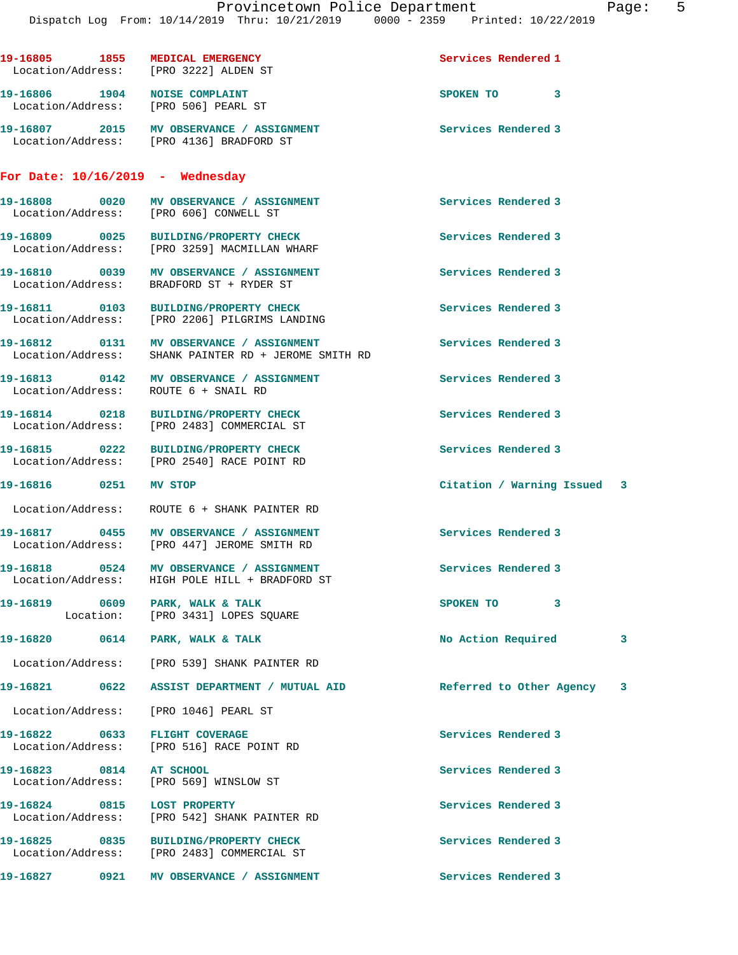|                             | 19-16805 1855 MEDICAL EMERGENCY<br>Location/Address: [PRO 3222] ALDEN ST                                       | Services Rendered 1         |   |
|-----------------------------|----------------------------------------------------------------------------------------------------------------|-----------------------------|---|
|                             | 19-16806 1904 NOISE COMPLAINT<br>Location/Address: [PRO 506] PEARL ST                                          | SPOKEN TO 3                 |   |
|                             | 19-16807 2015 MV OBSERVANCE / ASSIGNMENT<br>Location/Address: [PRO 4136] BRADFORD ST                           | Services Rendered 3         |   |
|                             | For Date: $10/16/2019$ - Wednesday                                                                             |                             |   |
|                             | 19-16808 0020 MV OBSERVANCE / ASSIGNMENT<br>Location/Address: [PRO 606] CONWELL ST                             | Services Rendered 3         |   |
|                             | 19-16809 0025 BUILDING/PROPERTY CHECK<br>Location/Address: [PRO 3259] MACMILLAN WHARF                          | Services Rendered 3         |   |
|                             | 19-16810 0039 MV OBSERVANCE / ASSIGNMENT<br>Location/Address: BRADFORD ST + RYDER ST                           | Services Rendered 3         |   |
|                             | 19-16811 0103 BUILDING/PROPERTY CHECK<br>Location/Address: [PRO 2206] PILGRIMS LANDING                         | Services Rendered 3         |   |
|                             | 19-16812 0131 MV OBSERVANCE / ASSIGNMENT<br>Location/Address: SHANK PAINTER RD + JEROME SMITH RD               | Services Rendered 3         |   |
|                             | 19-16813 0142 MV OBSERVANCE / ASSIGNMENT<br>Location/Address: ROUTE 6 + SNAIL RD                               | Services Rendered 3         |   |
|                             | 19-16814 0218 BUILDING/PROPERTY CHECK<br>Location/Address: [PRO 2483] COMMERCIAL ST                            | Services Rendered 3         |   |
|                             | 19-16815 0222 BUILDING/PROPERTY CHECK<br>Location/Address: [PRO 2540] RACE POINT RD<br>BUILDING/PROPERTY CHECK | Services Rendered 3         |   |
| 19-16816  0251 MV STOP      |                                                                                                                | Citation / Warning Issued 3 |   |
|                             | Location/Address: ROUTE 6 + SHANK PAINTER RD                                                                   |                             |   |
|                             | 19-16817 0455 MV OBSERVANCE / ASSIGNMENT<br>Location/Address: [PRO 447] JEROME SMITH RD                        | Services Rendered 3         |   |
|                             | 19-16818 0524 MV OBSERVANCE / ASSIGNMENT<br>Location/Address: HIGH POLE HILL + BRADFORD ST                     | Services Rendered 3         |   |
|                             | 19-16819 0609 PARK, WALK & TALK<br>Location: [PRO 3431] LOPES SQUARE                                           | SPOKEN TO<br>3              |   |
|                             |                                                                                                                | No Action Required          | 3 |
|                             | Location/Address: [PRO 539] SHANK PAINTER RD                                                                   |                             |   |
|                             |                                                                                                                | Referred to Other Agency 3  |   |
|                             | Location/Address: [PRO 1046] PEARL ST                                                                          |                             |   |
|                             | 19-16822 0633 FLIGHT COVERAGE<br>Location/Address: [PRO 516] RACE POINT RD                                     | Services Rendered 3         |   |
| 19-16823 0814 AT SCHOOL     | Location/Address: [PRO 569] WINSLOW ST                                                                         | Services Rendered 3         |   |
| 19-16824 0815 LOST PROPERTY | Location/Address: [PRO 542] SHANK PAINTER RD                                                                   | Services Rendered 3         |   |
|                             | 19-16825 0835 BUILDING/PROPERTY CHECK<br>Location/Address: [PRO 2483] COMMERCIAL ST                            | Services Rendered 3         |   |
| 19-16827<br>0921            | MV OBSERVANCE / ASSIGNMENT                                                                                     | Services Rendered 3         |   |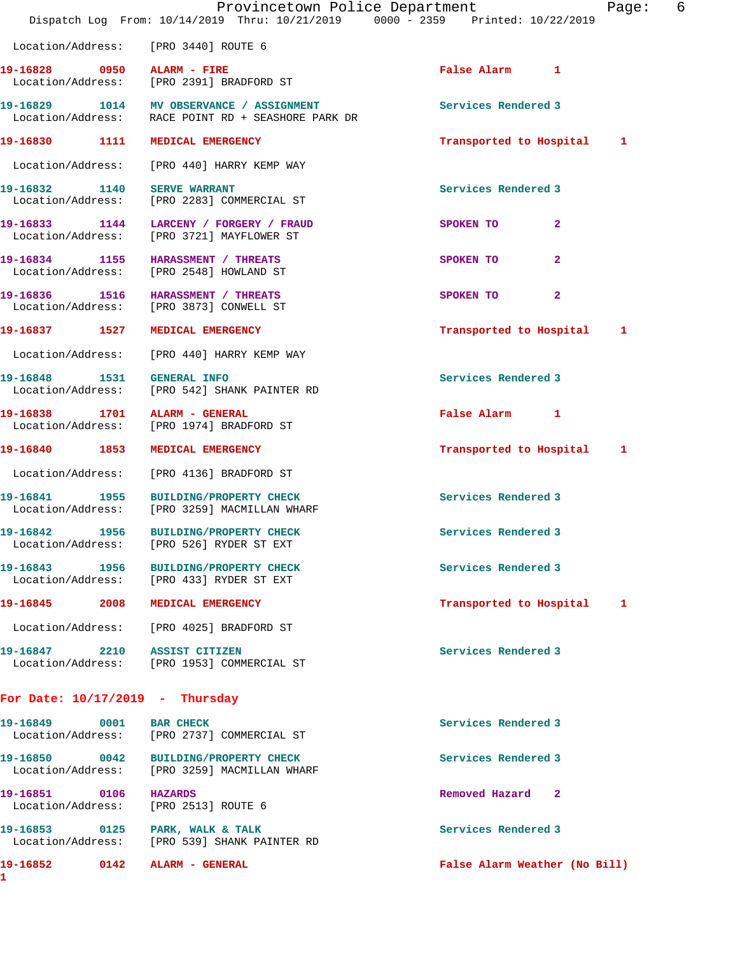|                                    |      | Provincetown Police Department<br>Dispatch Log From: 10/14/2019 Thru: 10/21/2019 0000 - 2359 Printed: 10/22/2019 |                               | 6<br>Page: |
|------------------------------------|------|------------------------------------------------------------------------------------------------------------------|-------------------------------|------------|
|                                    |      | Location/Address: [PRO 3440] ROUTE 6                                                                             |                               |            |
| 19-16828 0950                      |      | ALARM - FIRE<br>Location/Address: [PRO 2391] BRADFORD ST                                                         | False Alarm 1                 |            |
|                                    |      | 19-16829 1014 MV OBSERVANCE / ASSIGNMENT<br>Location/Address: RACE POINT RD + SEASHORE PARK DR                   | Services Rendered 3           |            |
| 19-16830 1111                      |      | MEDICAL EMERGENCY                                                                                                | Transported to Hospital       | 1          |
|                                    |      | Location/Address: [PRO 440] HARRY KEMP WAY                                                                       |                               |            |
| 19-16832 1140                      |      | <b>SERVE WARRANT</b><br>Location/Address: [PRO 2283] COMMERCIAL ST                                               | Services Rendered 3           |            |
|                                    |      | 19-16833 1144 LARCENY / FORGERY / FRAUD<br>Location/Address: [PRO 3721] MAYFLOWER ST                             | SPOKEN TO<br>$\overline{2}$   |            |
|                                    |      | 19-16834 1155 HARASSMENT / THREATS<br>Location/Address: [PRO 2548] HOWLAND ST                                    | $\overline{a}$<br>SPOKEN TO   |            |
|                                    |      | 19-16836 1516 HARASSMENT / THREATS<br>Location/Address: [PRO 3873] CONWELL ST                                    | $\overline{2}$<br>SPOKEN TO   |            |
| 19-16837 1527                      |      | MEDICAL EMERGENCY                                                                                                | Transported to Hospital       | 1          |
| Location/Address:                  |      | [PRO 440] HARRY KEMP WAY                                                                                         |                               |            |
| 19-16848   1531   GENERAL INFO     |      | Location/Address: [PRO 542] SHANK PAINTER RD                                                                     | Services Rendered 3           |            |
| 19-16838 1701<br>Location/Address: |      | ALARM - GENERAL<br>[PRO 1974] BRADFORD ST                                                                        | False Alarm 1                 |            |
| 19-16840 1853                      |      | MEDICAL EMERGENCY                                                                                                | Transported to Hospital       | 1          |
| Location/Address:                  |      | [PRO 4136] BRADFORD ST                                                                                           |                               |            |
|                                    |      | 19-16841 1955 BUILDING/PROPERTY CHECK<br>Location/Address: [PRO 3259] MACMILLAN WHARF                            | Services Rendered 3           |            |
| 19-16842 1956                      |      | <b>BUILDING/PROPERTY CHECK</b><br>Location/Address: [PRO 526] RYDER ST EXT                                       | Services Rendered 3           |            |
| 19-16843                           | 1956 | <b>BUILDING/PROPERTY CHECK</b><br>Location/Address: [PRO 433] RYDER ST EXT                                       | Services Rendered 3           |            |
| 19-16845                           | 2008 | MEDICAL EMERGENCY                                                                                                | Transported to Hospital       | 1          |
|                                    |      | Location/Address: [PRO 4025] BRADFORD ST                                                                         |                               |            |
| 19-16847                           |      | 2210 ASSIST CITIZEN<br>Location/Address: [PRO 1953] COMMERCIAL ST                                                | Services Rendered 3           |            |
| For Date: $10/17/2019$ - Thursday  |      |                                                                                                                  |                               |            |
| 19-16849<br>Location/Address:      | 0001 | <b>BAR CHECK</b><br>[PRO 2737] COMMERCIAL ST                                                                     | Services Rendered 3           |            |
| 19-16850 0042                      |      | <b>BUILDING/PROPERTY CHECK</b><br>Location/Address: [PRO 3259] MACMILLAN WHARF                                   | Services Rendered 3           |            |
| 19-16851 0106<br>Location/Address: |      | <b>HAZARDS</b><br>[PRO 2513] ROUTE 6                                                                             | Removed Hazard 2              |            |
|                                    |      | 19-16853 0125 PARK, WALK & TALK<br>Location/Address: [PRO 539] SHANK PAINTER RD                                  | Services Rendered 3           |            |
| 19-16852                           | 0142 | ALARM - GENERAL                                                                                                  | False Alarm Weather (No Bill) |            |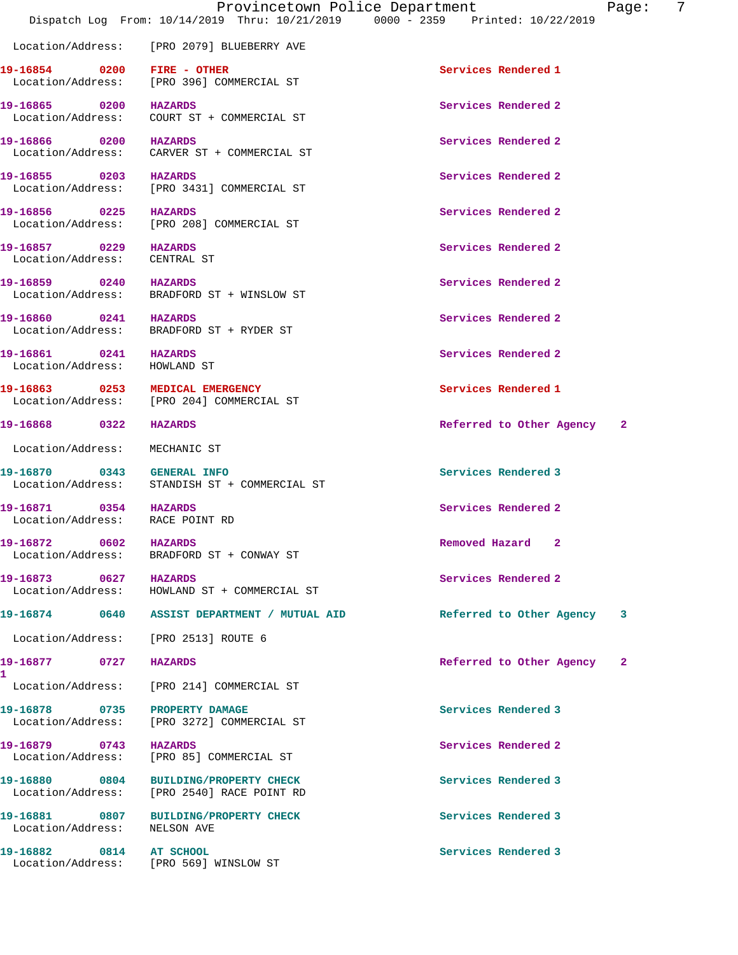Location/Address: [PRO 2079] BLUEBERRY AVE

**19-16854 0200 FIRE - OTHER Services Rendered 1**  Location/Address: [PRO 396] COMMERCIAL ST

**19-16857 0229 HAZARDS Services Rendered 2**  Location/Address: CENTRAL ST

**19-16861 0241 HAZARDS Services Rendered 2**  Location/Address: HOWLAND ST

Location/Address: MECHANIC ST

**19-16872 0602 HAZARDS Removed Hazard 2** 

**19-16873 0627 HAZARDS Services Rendered 2** 

**1** 

Location/Address: NELSON AVE

**19-16882 0814 AT SCHOOL Services Rendered 3** 

**19-16865 0200 HAZARDS Services Rendered 2**  Location/Address: COURT ST + COMMERCIAL ST

Location/Address: CARVER ST + COMMERCIAL ST

Location/Address: [PRO 3431] COMMERCIAL ST

**19-16856 0225 HAZARDS Services Rendered 2**  Location/Address: [PRO 208] COMMERCIAL ST

**19-16859 0240 HAZARDS Services Rendered 2**  Location/Address: BRADFORD ST + WINSLOW ST

**19-16860 0241 HAZARDS Services Rendered 2**  Location/Address: BRADFORD ST + RYDER ST

**19-16863 0253 MEDICAL EMERGENCY Services Rendered 1**  Location/Address: [PRO 204] COMMERCIAL ST

**19-16870 0343 GENERAL INFO Services Rendered 3**  Location/Address: STANDISH ST + COMMERCIAL ST

Location/Address: RACE POINT RD

Location/Address: BRADFORD ST + CONWAY ST

Location/Address: HOWLAND ST + COMMERCIAL ST

Location/Address: [PRO 2513] ROUTE 6

Location/Address: [PRO 214] COMMERCIAL ST

**19-16878 0735 PROPERTY DAMAGE Services Rendered 3**  Location/Address: [PRO 3272] COMMERCIAL ST

**19-16879** 0743 HAZARDS **Services Rendered 2** Location/Address: [PRO 85] COMMERCIAL ST

**19-16880 0804 BUILDING/PROPERTY CHECK Services Rendered 3**  Location/Address: [PRO 2540] RACE POINT RD

**19-16881 0807 BUILDING/PROPERTY CHECK Services Rendered 3** 

Location/Address: [PRO 569] WINSLOW ST

**19-16866 0200 HAZARDS Services Rendered 2 19-16855 0203 HAZARDS Services Rendered 2** 

**19-16868 0322 HAZARDS Referred to Other Agency 2**

**19-16871 0354 HAZARDS Services Rendered 2** 

**19-16874 0640 ASSIST DEPARTMENT / MUTUAL AID Referred to Other Agency 3**

**19-16877 0727 HAZARDS Referred to Other Agency 2**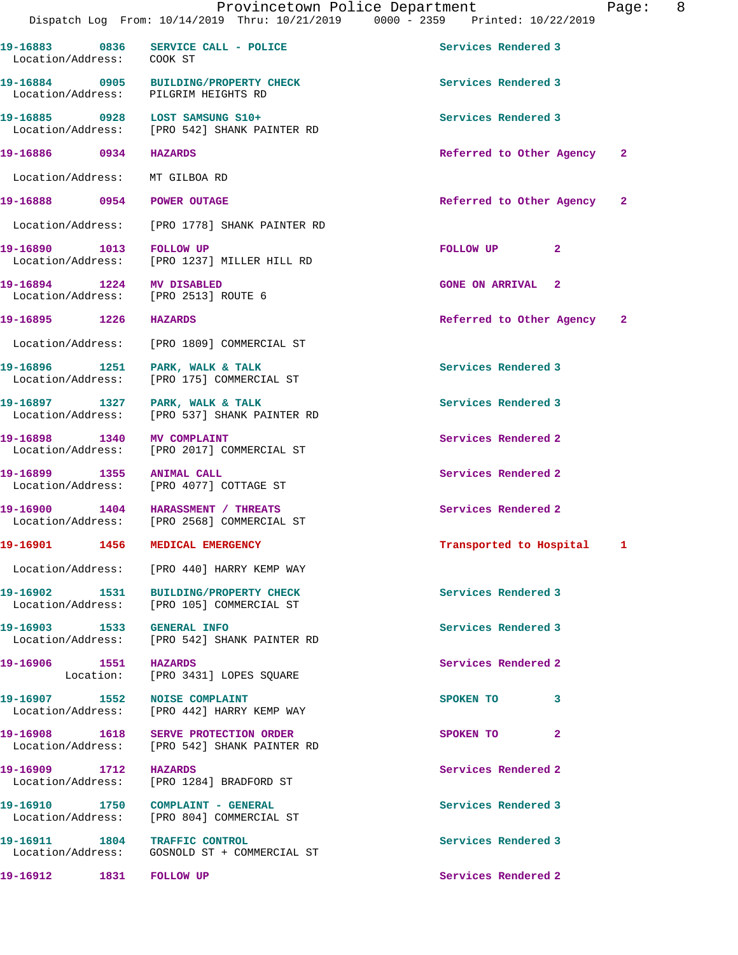|                                                                   | Provincetown Police Department<br>Dispatch Log From: 10/14/2019 Thru: 10/21/2019 0000 - 2359 Printed: 10/22/2019 |                            | Page: 8 |  |
|-------------------------------------------------------------------|------------------------------------------------------------------------------------------------------------------|----------------------------|---------|--|
| Location/Address: COOK ST                                         | 19-16883 0836 SERVICE CALL - POLICE                                                                              | Services Rendered 3        |         |  |
| Location/Address: PILGRIM HEIGHTS RD                              | 19-16884 0905 BUILDING/PROPERTY CHECK                                                                            | Services Rendered 3        |         |  |
|                                                                   | 19-16885 0928 LOST SAMSUNG S10+<br>Location/Address: [PRO 542] SHANK PAINTER RD                                  | Services Rendered 3        |         |  |
| 19-16886 0934 HAZARDS                                             |                                                                                                                  | Referred to Other Agency 2 |         |  |
| Location/Address: MT GILBOA RD                                    |                                                                                                                  |                            |         |  |
| 19-16888 0954 POWER OUTAGE                                        |                                                                                                                  | Referred to Other Agency   | -2      |  |
|                                                                   | Location/Address: [PRO 1778] SHANK PAINTER RD                                                                    |                            |         |  |
| 19-16890 1013 FOLLOW UP                                           | Location/Address: [PRO 1237] MILLER HILL RD                                                                      | FOLLOW UP<br>$\mathbf{2}$  |         |  |
| 19-16894 1224 MV DISABLED<br>Location/Address: [PRO 2513] ROUTE 6 |                                                                                                                  | <b>GONE ON ARRIVAL 2</b>   |         |  |
| 19-16895 1226 HAZARDS                                             |                                                                                                                  | Referred to Other Agency 2 |         |  |
|                                                                   | Location/Address: [PRO 1809] COMMERCIAL ST                                                                       |                            |         |  |
| 19-16896 1251 PARK, WALK & TALK                                   | Location/Address: [PRO 175] COMMERCIAL ST                                                                        | Services Rendered 3        |         |  |
|                                                                   | 19-16897 1327 PARK, WALK & TALK<br>Location/Address: [PRO 537] SHANK PAINTER RD                                  | Services Rendered 3        |         |  |
| 19-16898 1340 MV COMPLAINT                                        | Location/Address: [PRO 2017] COMMERCIAL ST                                                                       | Services Rendered 2        |         |  |
|                                                                   | 19-16899 1355 ANIMAL CALL<br>Location/Address: [PRO 4077] COTTAGE ST                                             | Services Rendered 2        |         |  |
| 19-16900 1404 HARASSMENT / THREATS                                | Location/Address: [PRO 2568] COMMERCIAL ST                                                                       | Services Rendered 2        |         |  |
| 19-16901 1456 MEDICAL EMERGENCY                                   |                                                                                                                  | Transported to Hospital 1  |         |  |
|                                                                   | Location/Address: [PRO 440] HARRY KEMP WAY                                                                       |                            |         |  |
|                                                                   | 19-16902 1531 BUILDING/PROPERTY CHECK<br>Location/Address: [PRO 105] COMMERCIAL ST                               | Services Rendered 3        |         |  |
| 19-16903 1533 GENERAL INFO                                        | Location/Address: [PRO 542] SHANK PAINTER RD                                                                     | Services Rendered 3        |         |  |
| 19-16906 1551 HAZARDS                                             | Location: [PRO 3431] LOPES SQUARE                                                                                | Services Rendered 2        |         |  |
|                                                                   | 19-16907 1552 NOISE COMPLAINT<br>Location/Address: [PRO 442] HARRY KEMP WAY                                      | SPOKEN TO 3                |         |  |
|                                                                   | 19-16908 1618 SERVE PROTECTION ORDER<br>Location/Address: [PRO 542] SHANK PAINTER RD                             | SPOKEN TO<br>$\mathbf{2}$  |         |  |
| 19-16909 1712 HAZARDS                                             | Location/Address: [PRO 1284] BRADFORD ST                                                                         | Services Rendered 2        |         |  |
| 19-16910 1750 COMPLAINT - GENERAL                                 | Location/Address: [PRO 804] COMMERCIAL ST                                                                        | Services Rendered 3        |         |  |
| 19-16911 1804 TRAFFIC CONTROL                                     | Location/Address: GOSNOLD ST + COMMERCIAL ST                                                                     | Services Rendered 3        |         |  |
| 19-16912 1831 FOLLOW UP                                           |                                                                                                                  | Services Rendered 2        |         |  |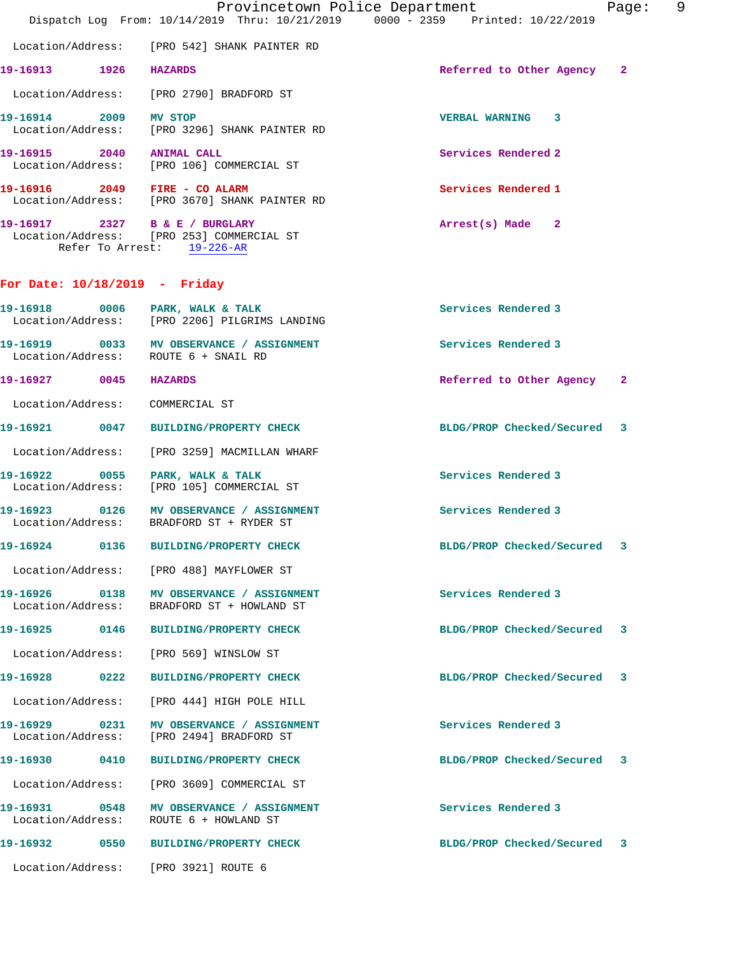|                               |      | Provincetown Police Department<br>Dispatch Log From: 10/14/2019 Thru: 10/21/2019 0000 - 2359 Printed: 10/22/2019 |                             | 9<br>Page: |
|-------------------------------|------|------------------------------------------------------------------------------------------------------------------|-----------------------------|------------|
|                               |      | Location/Address: [PRO 542] SHANK PAINTER RD                                                                     |                             |            |
| 19-16913 1926 HAZARDS         |      |                                                                                                                  | Referred to Other Agency 2  |            |
|                               |      | Location/Address: [PRO 2790] BRADFORD ST                                                                         |                             |            |
|                               |      | 19-16914 2009 MV STOP<br>  Location/Address: [PRO 3296] SHANK PAINTER RD                                         | <b>VERBAL WARNING 3</b>     |            |
| 19-16915 2040 ANIMAL CALL     |      | Location/Address: [PRO 106] COMMERCIAL ST                                                                        | Services Rendered 2         |            |
|                               |      | 19-16916 2049 FIRE - CO ALARM<br>Location/Address: [PRO 3670] SHANK PAINTER RD                                   | Services Rendered 1         |            |
|                               |      | 19-16917 2327 B & E / BURGLARY<br>Location/Address: [PRO 253] COMMERCIAL ST<br>Refer To Arrest: 19-226-AR        | Arrest(s) Made 2            |            |
| For Date: 10/18/2019 - Friday |      |                                                                                                                  |                             |            |
|                               |      | 19-16918 0006 PARK, WALK & TALK<br>Location/Address: [PRO 2206] PILGRIMS LANDING                                 | Services Rendered 3         |            |
|                               |      | 19-16919 0033 MV OBSERVANCE / ASSIGNMENT<br>Location/Address: ROUTE 6 + SNAIL RD                                 | Services Rendered 3         |            |
| 19-16927 0045                 |      | <b>HAZARDS</b>                                                                                                   | Referred to Other Agency    | -2         |
|                               |      | Location/Address: COMMERCIAL ST                                                                                  |                             |            |
|                               |      | 19-16921 0047 BUILDING/PROPERTY CHECK                                                                            | BLDG/PROP Checked/Secured 3 |            |
|                               |      | Location/Address: [PRO 3259] MACMILLAN WHARF                                                                     |                             |            |
|                               |      | 19-16922 0055 PARK, WALK & TALK<br>Location/Address: [PRO 105] COMMERCIAL ST                                     | Services Rendered 3         |            |
|                               |      | 19-16923 0126 MV OBSERVANCE / ASSIGNMENT<br>Location/Address: BRADFORD ST + RYDER ST                             | Services Rendered 3         |            |
| 19-16924                      | 0136 | <b>BUILDING/PROPERTY CHECK</b>                                                                                   | BLDG/PROP Checked/Secured   |            |
|                               |      | Location/Address: [PRO 488] MAYFLOWER ST                                                                         |                             |            |
|                               |      | 19-16926 0138 MV OBSERVANCE / ASSIGNMENT<br>Location/Address: BRADFORD ST + HOWLAND ST                           | Services Rendered 3         |            |
|                               |      | 19-16925 0146 BUILDING/PROPERTY CHECK                                                                            | BLDG/PROP Checked/Secured 3 |            |
|                               |      | Location/Address: [PRO 569] WINSLOW ST                                                                           |                             |            |
| 19-16928                      | 0222 | <b>BUILDING/PROPERTY CHECK</b>                                                                                   | BLDG/PROP Checked/Secured   | 3          |
|                               |      | Location/Address: [PRO 444] HIGH POLE HILL                                                                       |                             |            |
| Location/Address:             |      | 19-16929 0231 MV OBSERVANCE / ASSIGNMENT<br>[PRO 2494] BRADFORD ST                                               | Services Rendered 3         |            |
| 19-16930                      | 0410 | <b>BUILDING/PROPERTY CHECK</b>                                                                                   | BLDG/PROP Checked/Secured 3 |            |
|                               |      | Location/Address: [PRO 3609] COMMERCIAL ST                                                                       |                             |            |
|                               |      | 19-16931 0548 MV OBSERVANCE / ASSIGNMENT<br>Location/Address:    ROUTE 6 + HOWLAND ST                            | Services Rendered 3         |            |
|                               |      |                                                                                                                  | BLDG/PROP Checked/Secured 3 |            |

Location/Address: [PRO 3921] ROUTE 6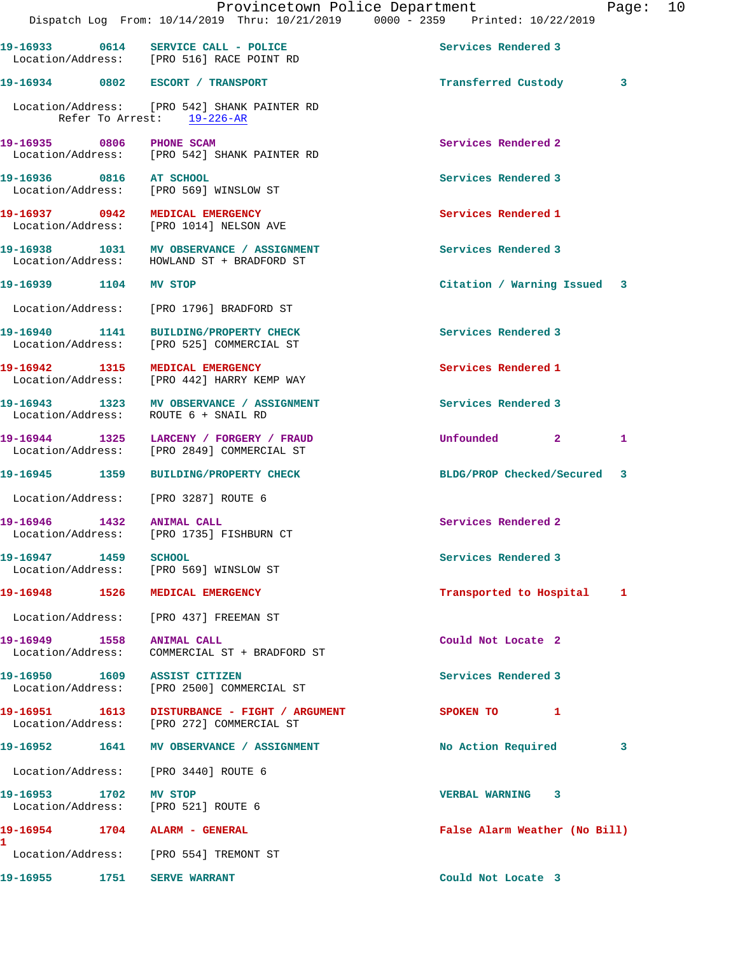|                             | Provincetown Police Department<br>Dispatch Log From: 10/14/2019 Thru: 10/21/2019 0000 - 2359 Printed: 10/22/2019 |                               | Page: 10 |  |
|-----------------------------|------------------------------------------------------------------------------------------------------------------|-------------------------------|----------|--|
|                             | 19-16933 0614 SERVICE CALL - POLICE<br>Location/Address: [PRO 516] RACE POINT RD                                 | Services Rendered 3           |          |  |
|                             | 19-16934 0802 ESCORT / TRANSPORT                                                                                 | Transferred Custody           | 3        |  |
|                             | Location/Address: [PRO 542] SHANK PAINTER RD<br>Refer To Arrest: 19-226-AR                                       |                               |          |  |
| 19-16935 0806 PHONE SCAM    | Location/Address: [PRO 542] SHANK PAINTER RD                                                                     | Services Rendered 2           |          |  |
| 19-16936 0816 AT SCHOOL     | Location/Address: [PRO 569] WINSLOW ST                                                                           | Services Rendered 3           |          |  |
|                             | 19-16937 0942 MEDICAL EMERGENCY<br>Location/Address: [PRO 1014] NELSON AVE                                       | Services Rendered 1           |          |  |
|                             | 19-16938 1031 MV OBSERVANCE / ASSIGNMENT<br>Location/Address: HOWLAND ST + BRADFORD ST                           | Services Rendered 3           |          |  |
| 19-16939 1104 MV STOP       |                                                                                                                  | Citation / Warning Issued 3   |          |  |
|                             | Location/Address: [PRO 1796] BRADFORD ST                                                                         |                               |          |  |
|                             | 19-16940 1141 BUILDING/PROPERTY CHECK<br>Location/Address: [PRO 525] COMMERCIAL ST                               | Services Rendered 3           |          |  |
|                             | 19-16942 1315 MEDICAL EMERGENCY<br>Location/Address: [PRO 442] HARRY KEMP WAY                                    | Services Rendered 1           |          |  |
|                             | 19-16943 1323 MV OBSERVANCE / ASSIGNMENT<br>Location/Address: ROUTE 6 + SNAIL RD                                 | Services Rendered 3           |          |  |
|                             | 19-16944 1325 LARCENY / FORGERY / FRAUD<br>Location/Address: [PRO 2849] COMMERCIAL ST                            | Unfounded 2                   | 1        |  |
|                             | 19-16945 1359 BUILDING/PROPERTY CHECK                                                                            | BLDG/PROP Checked/Secured 3   |          |  |
|                             | Location/Address: [PRO 3287] ROUTE 6                                                                             |                               |          |  |
| 19-16946 1432 ANIMAL CALL   | Location/Address: [PRO 1735] FISHBURN CT                                                                         | Services Rendered 2           |          |  |
| 19-16947 1459               | <b>SCHOOL</b><br>Location/Address: [PRO 569] WINSLOW ST                                                          | Services Rendered 3           |          |  |
|                             | 19-16948 1526 MEDICAL EMERGENCY                                                                                  | Transported to Hospital 1     |          |  |
|                             | Location/Address: [PRO 437] FREEMAN ST                                                                           |                               |          |  |
| 19-16949 1558 ANIMAL CALL   | Location/Address: COMMERCIAL ST + BRADFORD ST                                                                    | Could Not Locate 2            |          |  |
|                             | 19-16950 1609 ASSIST CITIZEN<br>Location/Address: [PRO 2500] COMMERCIAL ST                                       | Services Rendered 3           |          |  |
|                             | 19-16951   1613   DISTURBANCE - FIGHT / ARGUMENT<br>Location/Address: [PRO 272] COMMERCIAL ST                    | SPOKEN TO 1                   |          |  |
|                             | 19-16952 1641 MV OBSERVANCE / ASSIGNMENT                                                                         | No Action Required            | 3        |  |
|                             | Location/Address: [PRO 3440] ROUTE 6                                                                             |                               |          |  |
| 19-16953 1702 MV STOP       | Location/Address: [PRO 521] ROUTE 6                                                                              | VERBAL WARNING 3              |          |  |
|                             | 19-16954 1704 ALARM - GENERAL                                                                                    | False Alarm Weather (No Bill) |          |  |
|                             | Location/Address: [PRO 554] TREMONT ST                                                                           |                               |          |  |
| 19-16955 1751 SERVE WARRANT |                                                                                                                  | Could Not Locate 3            |          |  |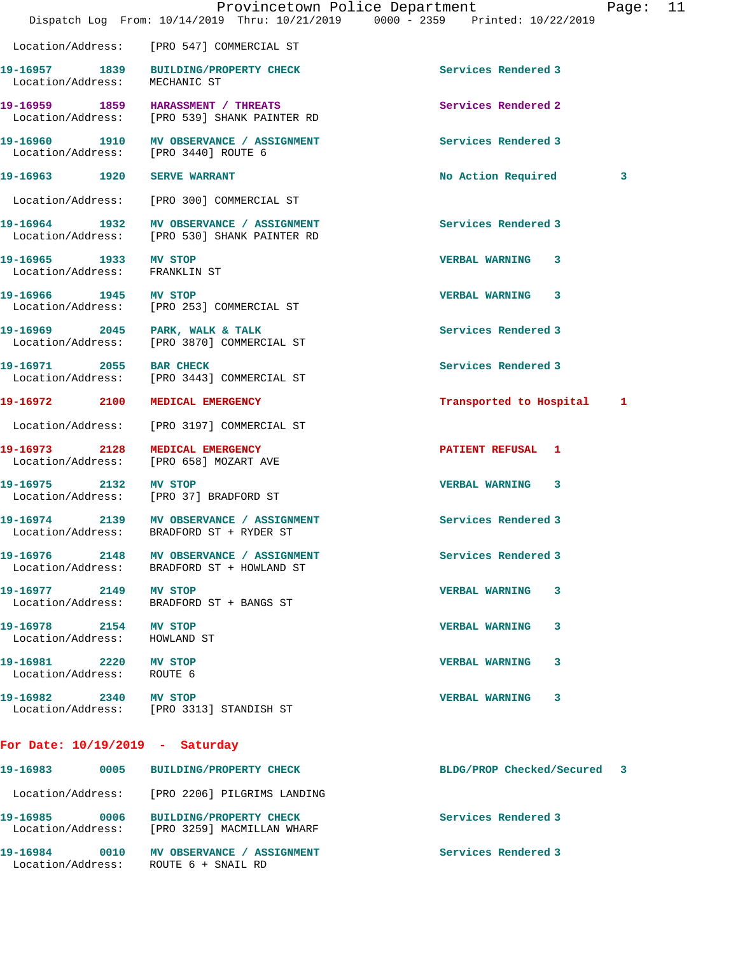|                                                        | Dispatch Log From: 10/14/2019 Thru: 10/21/2019 0000 - 2359 Printed: 10/22/2019           | Provincetown Police Department | Page: | 11 |
|--------------------------------------------------------|------------------------------------------------------------------------------------------|--------------------------------|-------|----|
|                                                        | Location/Address: [PRO 547] COMMERCIAL ST                                                |                                |       |    |
| Location/Address:                                      | 19-16957 1839 BUILDING/PROPERTY CHECK<br>MECHANIC ST                                     | Services Rendered 3            |       |    |
|                                                        | 19-16959 1859 HARASSMENT / THREATS<br>Location/Address: [PRO 539] SHANK PAINTER RD       | Services Rendered 2            |       |    |
|                                                        | 19-16960 1910 MV OBSERVANCE / ASSIGNMENT<br>Location/Address: [PRO 3440] ROUTE 6         | Services Rendered 3            |       |    |
| 19-16963 1920 SERVE WARRANT                            |                                                                                          | No Action Required             | 3     |    |
|                                                        | Location/Address: [PRO 300] COMMERCIAL ST                                                |                                |       |    |
|                                                        | 19-16964 1932 MV OBSERVANCE / ASSIGNMENT<br>Location/Address: [PRO 530] SHANK PAINTER RD | Services Rendered 3            |       |    |
| 19-16965 1933 MV STOP<br>Location/Address: FRANKLIN ST |                                                                                          | <b>VERBAL WARNING 3</b>        |       |    |
| 19-16966 1945 MV STOP                                  | Location/Address: [PRO 253] COMMERCIAL ST                                                | VERBAL WARNING 3               |       |    |
|                                                        | 19-16969 2045 PARK, WALK & TALK<br>Location/Address: [PRO 3870] COMMERCIAL ST            | Services Rendered 3            |       |    |
| 19-16971 2055 BAR CHECK                                | Location/Address: [PRO 3443] COMMERCIAL ST                                               | Services Rendered 3            |       |    |
| 19-16972 2100                                          | MEDICAL EMERGENCY                                                                        | Transported to Hospital 1      |       |    |
|                                                        | Location/Address: [PRO 3197] COMMERCIAL ST                                               |                                |       |    |
|                                                        | 19-16973 2128 MEDICAL EMERGENCY<br>Location/Address: [PRO 658] MOZART AVE                | PATIENT REFUSAL 1              |       |    |
| 19-16975 2132 MV STOP                                  | Location/Address: [PRO 37] BRADFORD ST                                                   | <b>VERBAL WARNING 3</b>        |       |    |
|                                                        | 19-16974 2139 MV OBSERVANCE / ASSIGNMENT<br>Location/Address: BRADFORD ST + RYDER ST     | Services Rendered 3            |       |    |
|                                                        | 19-16976 2148 MV OBSERVANCE / ASSIGNMENT<br>Location/Address: BRADFORD ST + HOWLAND ST   | Services Rendered 3            |       |    |
| 19-16977 2149 MV STOP                                  | Location/Address: BRADFORD ST + BANGS ST                                                 | <b>VERBAL WARNING</b><br>3     |       |    |
| 19-16978 2154 MV STOP<br>Location/Address: HOWLAND ST  |                                                                                          | <b>VERBAL WARNING</b><br>3     |       |    |
| 19-16981 2220 MV STOP<br>Location/Address: ROUTE 6     |                                                                                          | <b>VERBAL WARNING</b><br>3     |       |    |
| 19-16982 2340 MV STOP                                  | Location/Address: [PRO 3313] STANDISH ST                                                 | VERBAL WARNING 3               |       |    |
| For Date: $10/19/2019$ - Saturday                      |                                                                                          |                                |       |    |
|                                                        | 19-16983 0005 BUILDING/PROPERTY CHECK                                                    | BLDG/PROP Checked/Secured 3    |       |    |
|                                                        | Location/Address: [PRO 2206] PILGRIMS LANDING                                            |                                |       |    |
| 19-16985 0006                                          | BUILDING/PROPERTY CHECK<br>Location/Address: [PRO 3259] MACMILLAN WHARF                  | Services Rendered 3            |       |    |
|                                                        | 19-16984 0010 MV OBSERVANCE / ASSIGNMENT<br>Location/Address: ROUTE 6 + SNAIL RD         | Services Rendered 3            |       |    |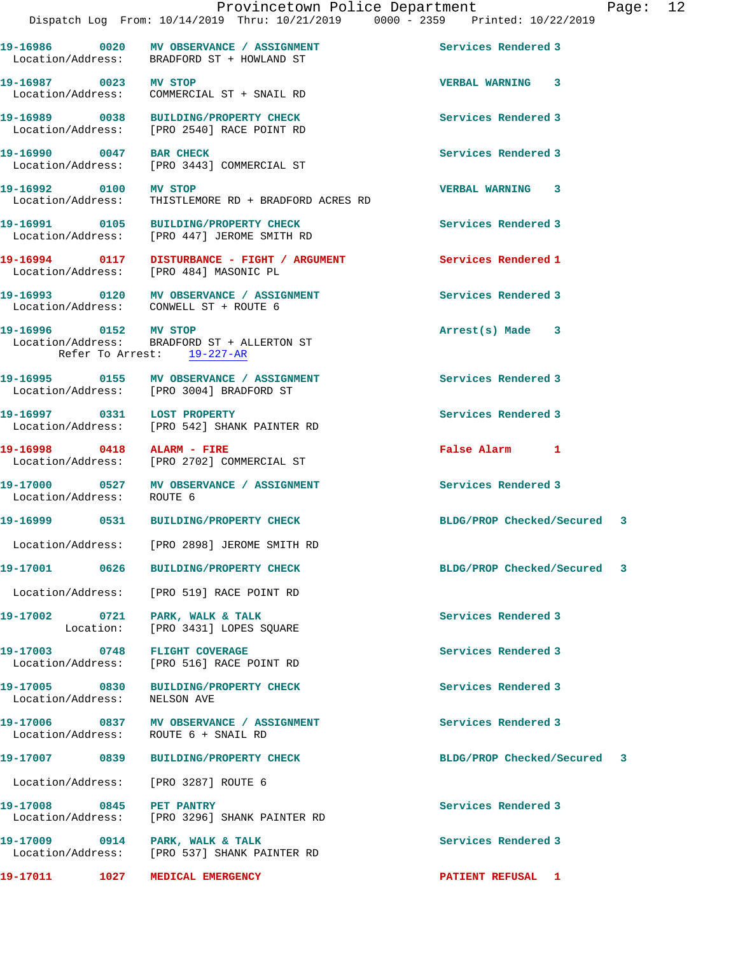|                                              |      | 19-16986 0020 MV OBSERVANCE / ASSIGNMENT<br>Location/Address: BRADFORD ST + HOWLAND ST | Services Rendered 3         |  |
|----------------------------------------------|------|----------------------------------------------------------------------------------------|-----------------------------|--|
| 19-16987 0023 MV STOP                        |      | Location/Address: COMMERCIAL ST + SNAIL RD                                             | VERBAL WARNING 3            |  |
| 19-16989 0038                                |      | BUILDING/PROPERTY CHECK<br>Location/Address: [PRO 2540] RACE POINT RD                  | Services Rendered 3         |  |
| 19-16990 0047 BAR CHECK<br>Location/Address: |      | [PRO 3443] COMMERCIAL ST                                                               | Services Rendered 3         |  |
| 19-16992 0100<br>Location/Address:           |      | MV STOP<br>THISTLEMORE RD + BRADFORD ACRES RD                                          | VERBAL WARNING 3            |  |
|                                              |      | 19-16991 0105 BUILDING/PROPERTY CHECK<br>Location/Address: [PRO 447] JEROME SMITH RD   | Services Rendered 3         |  |
| 19-16994 0117                                |      | DISTURBANCE - FIGHT / ARGUMENT<br>Location/Address: [PRO 484] MASONIC PL               | Services Rendered 1         |  |
|                                              |      | 19-16993 0120 MV OBSERVANCE / ASSIGNMENT<br>Location/Address: CONWELL ST + ROUTE 6     | Services Rendered 3         |  |
| 19-16996 0152 MV STOP                        |      | Location/Address: BRADFORD ST + ALLERTON ST<br>Refer To Arrest: 19-227-AR              | $Arrest(s)$ Made $3$        |  |
|                                              |      | 19-16995 0155 MV OBSERVANCE / ASSIGNMENT<br>Location/Address: [PRO 3004] BRADFORD ST   | Services Rendered 3         |  |
|                                              |      | 19-16997 0331 LOST PROPERTY<br>Location/Address: [PRO 542] SHANK PAINTER RD            | Services Rendered 3         |  |
|                                              |      | 19-16998 0418 ALARM - FIRE<br>Location/Address: [PRO 2702] COMMERCIAL ST               | False Alarm 1               |  |
| Location/Address:                            |      | 19-17000 0527 MV OBSERVANCE / ASSIGNMENT<br>ROUTE 6                                    | Services Rendered 3         |  |
|                                              |      | 19-16999 0531 BUILDING/PROPERTY CHECK                                                  | BLDG/PROP Checked/Secured 3 |  |
|                                              |      | Location/Address: [PRO 2898] JEROME SMITH RD                                           |                             |  |
| 19-17001                                     | 0626 | <b>BUILDING/PROPERTY CHECK</b>                                                         | BLDG/PROP Checked/Secured 3 |  |
|                                              |      | Location/Address: [PRO 519] RACE POINT RD                                              |                             |  |
|                                              |      | 19-17002 0721 PARK, WALK & TALK<br>Location: [PRO 3431] LOPES SOUARE                   | Services Rendered 3         |  |
|                                              |      | 19-17003 0748 FLIGHT COVERAGE<br>Location/Address: [PRO 516] RACE POINT RD             | Services Rendered 3         |  |
| Location/Address:                            |      | 19-17005 0830 BUILDING/PROPERTY CHECK<br>NELSON AVE                                    | Services Rendered 3         |  |
|                                              |      | 19-17006 0837 MV OBSERVANCE / ASSIGNMENT<br>Location/Address: ROUTE 6 + SNAIL RD       | Services Rendered 3         |  |
|                                              |      | 19-17007 0839 BUILDING/PROPERTY CHECK                                                  | BLDG/PROP Checked/Secured 3 |  |
|                                              |      | Location/Address: [PRO 3287] ROUTE 6                                                   |                             |  |
| 19-17008 0845 PET PANTRY                     |      | Location/Address: [PRO 3296] SHANK PAINTER RD                                          | Services Rendered 3         |  |
|                                              |      | 19-17009 0914 PARK, WALK & TALK<br>Location/Address: [PRO 537] SHANK PAINTER RD        | Services Rendered 3         |  |
|                                              |      | 19-17011 1027 MEDICAL EMERGENCY                                                        | PATIENT REFUSAL 1           |  |
|                                              |      |                                                                                        |                             |  |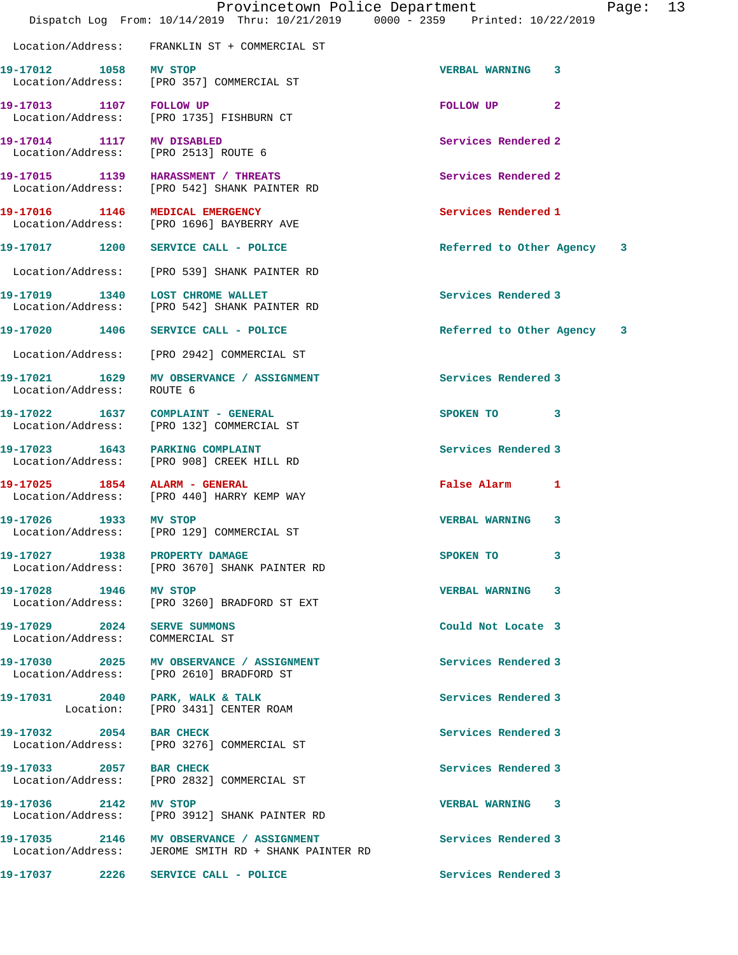|                                                                | Dispatch Log From: 10/14/2019 Thru: 10/21/2019 0000 - 2359 Printed: 10/22/2019                   | Provincetown Police Department | Page: 13 |  |
|----------------------------------------------------------------|--------------------------------------------------------------------------------------------------|--------------------------------|----------|--|
|                                                                | Location/Address: FRANKLIN ST + COMMERCIAL ST                                                    |                                |          |  |
| 19-17012 1058 MV STOP                                          | Location/Address: [PRO 357] COMMERCIAL ST                                                        | <b>VERBAL WARNING 3</b>        |          |  |
| 19-17013 1107 FOLLOW UP                                        | Location/Address: [PRO 1735] FISHBURN CT                                                         | FOLLOW UP <sub>2</sub>         |          |  |
| 19-17014 1117 MV DISABLED                                      | Location/Address: [PRO 2513] ROUTE 6                                                             | Services Rendered 2            |          |  |
|                                                                | 19-17015 1139 HARASSMENT / THREATS<br>Location/Address: [PRO 542] SHANK PAINTER RD               | Services Rendered 2            |          |  |
|                                                                | 19-17016 1146 MEDICAL EMERGENCY<br>Location/Address: [PRO 1696] BAYBERRY AVE                     | Services Rendered 1            |          |  |
|                                                                | 19-17017 1200 SERVICE CALL - POLICE                                                              | Referred to Other Agency 3     |          |  |
|                                                                | Location/Address: [PRO 539] SHANK PAINTER RD                                                     |                                |          |  |
|                                                                | 19-17019 1340 LOST CHROME WALLET<br>Location/Address: [PRO 542] SHANK PAINTER RD                 | Services Rendered 3            |          |  |
|                                                                | 19-17020 1406 SERVICE CALL - POLICE                                                              | Referred to Other Agency 3     |          |  |
|                                                                | Location/Address: [PRO 2942] COMMERCIAL ST                                                       |                                |          |  |
| Location/Address:                                              | 19-17021 1629 MV OBSERVANCE / ASSIGNMENT<br>ROUTE 6                                              | Services Rendered 3            |          |  |
|                                                                | 19-17022 1637 COMPLAINT - GENERAL<br>Location/Address: [PRO 132] COMMERCIAL ST                   | SPOKEN TO 3                    |          |  |
|                                                                | 19-17023 1643 PARKING COMPLAINT<br>Location/Address: [PRO 908] CREEK HILL RD                     | Services Rendered 3            |          |  |
|                                                                | 19-17025 1854 ALARM - GENERAL<br>Location/Address: [PRO 440] HARRY KEMP WAY                      | False Alarm 1                  |          |  |
| 19-17026 1933 MV STOP                                          | Location/Address: [PRO 129] COMMERCIAL ST                                                        | <b>VERBAL WARNING 3</b>        |          |  |
|                                                                | 19-17027 1938 PROPERTY DAMAGE<br>Location/Address: [PRO 3670] SHANK PAINTER RD                   | SPOKEN TO 3                    |          |  |
| 19-17028 1946 MV STOP                                          | Location/Address: [PRO 3260] BRADFORD ST EXT                                                     | VERBAL WARNING 3               |          |  |
| 19-17029 2024 SERVE SUMMONS<br>Location/Address: COMMERCIAL ST |                                                                                                  | Could Not Locate 3             |          |  |
|                                                                | 19-17030 2025 MV OBSERVANCE / ASSIGNMENT<br>Location/Address: [PRO 2610] BRADFORD ST             | Services Rendered 3            |          |  |
|                                                                | 19-17031 2040 PARK, WALK & TALK<br>Location: [PRO 3431] CENTER ROAM                              | Services Rendered 3            |          |  |
| 19-17032 2054 BAR CHECK                                        | Location/Address: [PRO 3276] COMMERCIAL ST                                                       | Services Rendered 3            |          |  |
|                                                                | 19-17033 2057 BAR CHECK<br>Location/Address: [PRO 2832] COMMERCIAL ST                            | Services Rendered 3            |          |  |
| 19-17036 2142 MV STOP                                          | Location/Address: [PRO 3912] SHANK PAINTER RD                                                    | VERBAL WARNING 3               |          |  |
|                                                                | 19-17035 2146 MV OBSERVANCE / ASSIGNMENT<br>Location/Address: JEROME SMITH RD + SHANK PAINTER RD | Services Rendered 3            |          |  |
|                                                                | 19-17037  2226 SERVICE CALL - POLICE                                                             | Services Rendered 3            |          |  |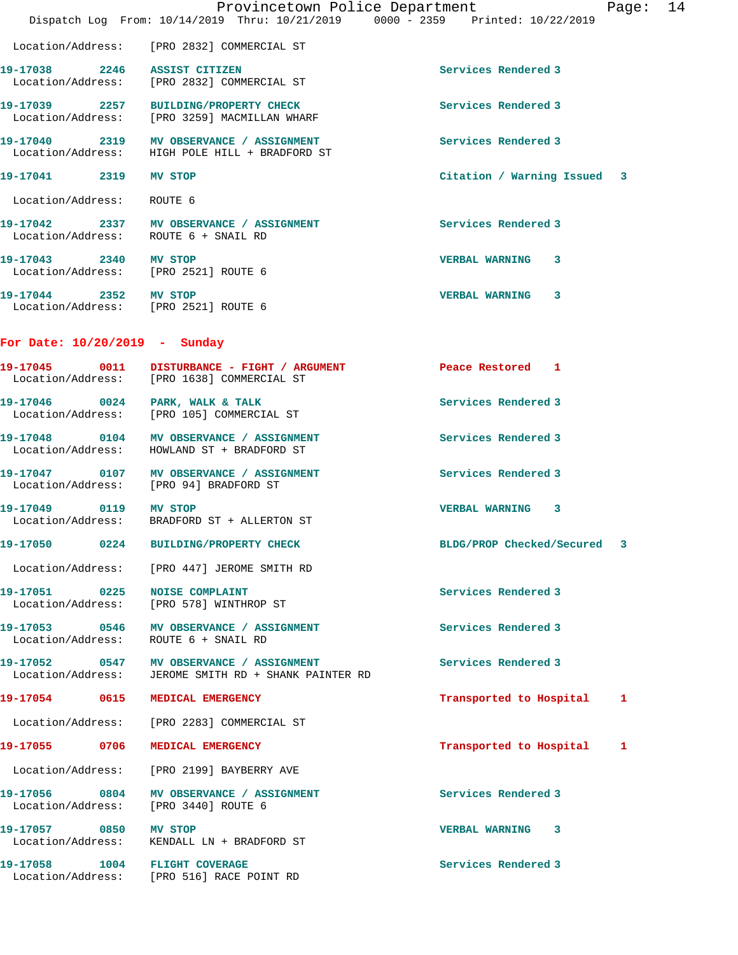|                                                               | Dispatch Log From: 10/14/2019 Thru: 10/21/2019 0000 - 2359 Printed: 10/22/2019                              | Provincetown Police Department<br>Page: 14 |
|---------------------------------------------------------------|-------------------------------------------------------------------------------------------------------------|--------------------------------------------|
|                                                               | Location/Address: [PRO 2832] COMMERCIAL ST                                                                  |                                            |
| 19-17038 2246 ASSIST CITIZEN                                  | Location/Address: [PRO 2832] COMMERCIAL ST                                                                  | Services Rendered 3                        |
|                                                               | 19-17039 2257 BUILDING/PROPERTY CHECK<br>Location/Address: [PRO 3259] MACMILLAN WHARF                       | Services Rendered 3                        |
|                                                               | 19-17040 2319 MV OBSERVANCE / ASSIGNMENT<br>Location/Address: HIGH POLE HILL + BRADFORD ST                  | Services Rendered 3                        |
| 19-17041 2319 MV STOP                                         |                                                                                                             | Citation / Warning Issued 3                |
| Location/Address: ROUTE 6                                     |                                                                                                             |                                            |
| Location/Address: ROUTE 6 + SNAIL RD                          | 19-17042 2337 MV OBSERVANCE / ASSIGNMENT                                                                    | Services Rendered 3                        |
| 19-17043 2340 MV STOP<br>Location/Address: [PRO 2521] ROUTE 6 |                                                                                                             | <b>VERBAL WARNING</b><br>3                 |
| 19-17044 2352 MV STOP<br>Location/Address: [PRO 2521] ROUTE 6 |                                                                                                             | <b>VERBAL WARNING</b><br>3                 |
| For Date: 10/20/2019 - Sunday                                 |                                                                                                             |                                            |
|                                                               | 19-17045 0011 DISTURBANCE - FIGHT / ARGUMENT Peace Restored 1<br>Location/Address: [PRO 1638] COMMERCIAL ST |                                            |
| 19-17046 0024 PARK, WALK & TALK                               | Location/Address: [PRO 105] COMMERCIAL ST                                                                   | Services Rendered 3                        |
|                                                               | 19-17048 0104 MV OBSERVANCE / ASSIGNMENT<br>Location/Address: HOWLAND ST + BRADFORD ST                      | Services Rendered 3                        |
|                                                               | 19-17047 0107 MV OBSERVANCE / ASSIGNMENT<br>Location/Address: [PRO 94] BRADFORD ST                          | Services Rendered 3                        |
| 19-17049 0119 MV STOP                                         | Location/Address: BRADFORD ST + ALLERTON ST                                                                 | VERBAL WARNING 3                           |
|                                                               | 19-17050 0224 BUILDING/PROPERTY CHECK                                                                       | BLDG/PROP Checked/Secured 3                |
|                                                               | Location/Address: [PRO 447] JEROME SMITH RD                                                                 |                                            |
| 19-17051 0225 NOISE COMPLAINT                                 | Location/Address: [PRO 578] WINTHROP ST                                                                     | Services Rendered 3                        |
| Location/Address: ROUTE 6 + SNAIL RD                          | 19-17053 0546 MV OBSERVANCE / ASSIGNMENT                                                                    | Services Rendered 3                        |
|                                                               | 19-17052 0547 MV OBSERVANCE / ASSIGNMENT<br>Location/Address: JEROME SMITH RD + SHANK PAINTER RD            | Services Rendered 3                        |
| 19-17054 0615 MEDICAL EMERGENCY                               |                                                                                                             | Transported to Hospital 1                  |
|                                                               | Location/Address: [PRO 2283] COMMERCIAL ST                                                                  |                                            |
| 19-17055 0706 MEDICAL EMERGENCY                               |                                                                                                             | Transported to Hospital 1                  |
|                                                               | Location/Address: [PRO 2199] BAYBERRY AVE                                                                   |                                            |
| Location/Address: [PRO 3440] ROUTE 6                          | 19-17056 0804 MV OBSERVANCE / ASSIGNMENT                                                                    | Services Rendered 3                        |
| 19-17057 0850 MV STOP                                         | Location/Address: KENDALL LN + BRADFORD ST                                                                  | <b>VERBAL WARNING 3</b>                    |
|                                                               | 19-17058 1004 FLIGHT COVERAGE<br>Location/Address: [PRO 516] RACE POINT RD                                  | Services Rendered 3                        |
|                                                               |                                                                                                             |                                            |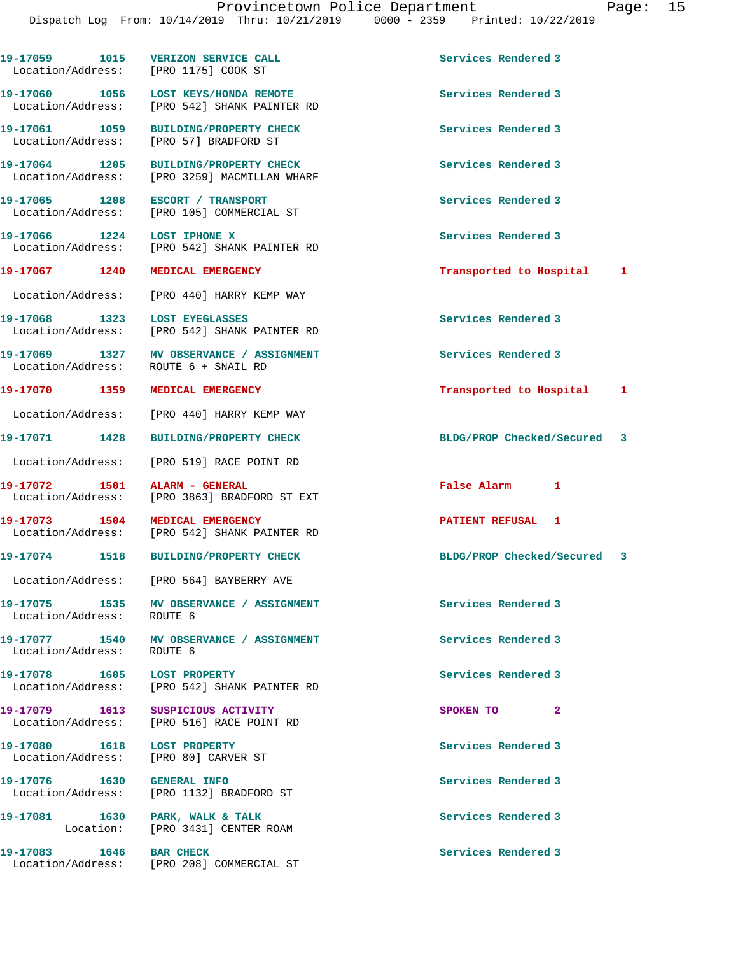19-17059 1015 VERIZON SERVICE CALL **19-17059** Services Rendered 3 Location/Address: [PRO 1175] COOK ST **19-17060 1056 LOST KEYS/HONDA REMOTE Services Rendered 3**  Location/Address: [PRO 542] SHANK PAINTER RD **19-17061 1059 BUILDING/PROPERTY CHECK Services Rendered 3**  Location/Address: [PRO 57] BRADFORD ST **19-17064 1205 BUILDING/PROPERTY CHECK Services Rendered 3**  Location/Address: [PRO 3259] MACMILLAN WHARF **19-17065 1208 ESCORT / TRANSPORT Services Rendered 3**  Location/Address: [PRO 105] COMMERCIAL ST **19-17066 1224 LOST IPHONE X Services Rendered 3**  Location/Address: [PRO 542] SHANK PAINTER RD **19-17067 1240 MEDICAL EMERGENCY Transported to Hospital 1** Location/Address: [PRO 440] HARRY KEMP WAY **19-17068 1323 LOST EYEGLASSES Services Rendered 3**  Location/Address: [PRO 542] SHANK PAINTER RD **19-17069 1327 MV OBSERVANCE / ASSIGNMENT Services Rendered 3**  Location/Address: ROUTE 6 + SNAIL RD **19-17070 1359 MEDICAL EMERGENCY Transported to Hospital 1** Location/Address: [PRO 440] HARRY KEMP WAY **19-17071 1428 BUILDING/PROPERTY CHECK BLDG/PROP Checked/Secured 3** Location/Address: [PRO 519] RACE POINT RD **19-17072 1501 ALARM - GENERAL False Alarm 1**  Location/Address: [PRO 3863] BRADFORD ST EXT **19-17073 1504 MEDICAL EMERGENCY PATIENT REFUSAL 1**  Location/Address: [PRO 542] SHANK PAINTER RD **19-17074 1518 BUILDING/PROPERTY CHECK BLDG/PROP Checked/Secured 3** Location/Address: [PRO 564] BAYBERRY AVE 19-17075 1535 MV OBSERVANCE / ASSIGNMENT **Services Rendered 3**  Location/Address: ROUTE 6 **19-17077 1540 MV OBSERVANCE / ASSIGNMENT Services Rendered 3**  Location/Address: ROUTE 6 19-17078 1605 LOST PROPERTY **19-17078** Services Rendered 3 Location/Address: [PRO 542] SHANK PAINTER RD **19-17079 1613 SUSPICIOUS ACTIVITY SPOKEN TO 2**  Location/Address: [PRO 516] RACE POINT RD **19-17080 1618 LOST PROPERTY Services Rendered 3**  Location/Address: [PRO 80] CARVER ST **19-17076 1630 GENERAL INFO Services Rendered 3**  Location/Address: [PRO 1132] BRADFORD ST 19-17081 1630 PARK, WALK & TALK **Services Rendered** 3 Location: [PRO 3431] CENTER ROAM **19-17083 1646 BAR CHECK Services Rendered 3**  Location/Address: [PRO 208] COMMERCIAL ST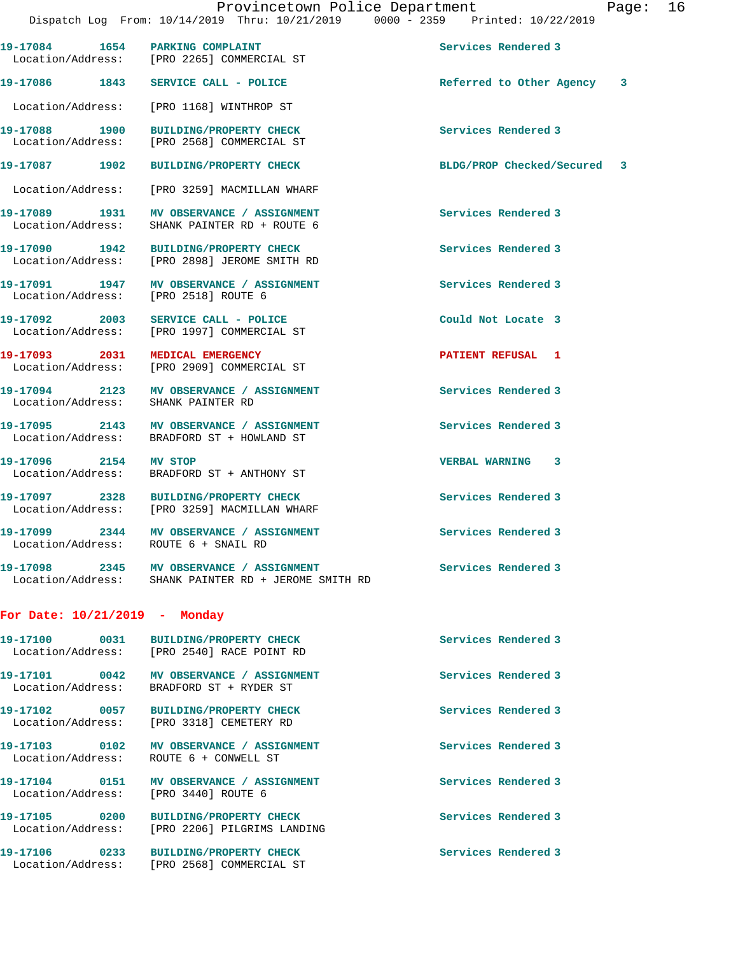Dispatch Log From: 10/14/2019 Thru: 10/21/2019 0000 - 2359 Printed: 10/22/2019 19-17084 1654 PARKING COMPLAINT **19-17084** Services Rendered 3 Location/Address: [PRO 2265] COMMERCIAL ST **19-17086 1843 SERVICE CALL - POLICE Referred to Other Agency 3** Location/Address: [PRO 1168] WINTHROP ST **19-17088 1900 BUILDING/PROPERTY CHECK Services Rendered 3**  Location/Address: [PRO 2568] COMMERCIAL ST **19-17087 1902 BUILDING/PROPERTY CHECK BLDG/PROP Checked/Secured 3** Location/Address: [PRO 3259] MACMILLAN WHARF **19-17089 1931 MV OBSERVANCE / ASSIGNMENT Services Rendered 3**  Location/Address: SHANK PAINTER RD + ROUTE 6 **19-17090 1942 BUILDING/PROPERTY CHECK Services Rendered 3**  Location/Address: [PRO 2898] JEROME SMITH RD **19-17091 1947 MV OBSERVANCE / ASSIGNMENT Services Rendered 3**  Location/Address: [PRO 2518] ROUTE 6 **19-17092 2003 SERVICE CALL - POLICE Could Not Locate 3**  Location/Address: [PRO 1997] COMMERCIAL ST **19-17093 2031 MEDICAL EMERGENCY PATIENT REFUSAL 1**  Location/Address: [PRO 2909] COMMERCIAL ST **19-17094 2123 MV OBSERVANCE / ASSIGNMENT Services Rendered 3**  Location/Address: SHANK PAINTER RD 19-17095 2143 MV OBSERVANCE / ASSIGNMENT **Services Rendered 3**  Location/Address: BRADFORD ST + HOWLAND ST **19-17096 2154 MV STOP VERBAL WARNING 3**  Location/Address: BRADFORD ST + ANTHONY ST **19-17097 2328 BUILDING/PROPERTY CHECK Services Rendered 3**  Location/Address: [PRO 3259] MACMILLAN WHARF **19-17099 2344 MV OBSERVANCE / ASSIGNMENT Services Rendered 3**  Location/Address: ROUTE 6 + SNAIL RD 19-17098 2345 MV OBSERVANCE / ASSIGNMENT **Services Rendered 3**  Location/Address: SHANK PAINTER RD + JEROME SMITH RD **For Date: 10/21/2019 - Monday 19-17100 0031 BUILDING/PROPERTY CHECK Services Rendered 3**  Location/Address: [PRO 2540] RACE POINT RD 19-17101 0042 MV OBSERVANCE / ASSIGNMENT **Services Rendered 3**  Location/Address: BRADFORD ST + RYDER ST **19-17102 0057 BUILDING/PROPERTY CHECK Services Rendered 3**  Location/Address: [PRO 3318] CEMETERY RD **19-17103 0102 MV OBSERVANCE / ASSIGNMENT Services Rendered 3**  Location/Address: ROUTE 6 + CONWELL ST **19-17104 0151 MV OBSERVANCE / ASSIGNMENT Services Rendered 3**  Location/Address: [PRO 3440] ROUTE 6

Location/Address: [PRO 2206] PILGRIMS LANDING

Location/Address: [PRO 2568] COMMERCIAL ST

**19-17105 0200 BUILDING/PROPERTY CHECK Services Rendered 3** 

**19-17106 0233 BUILDING/PROPERTY CHECK Services Rendered 3**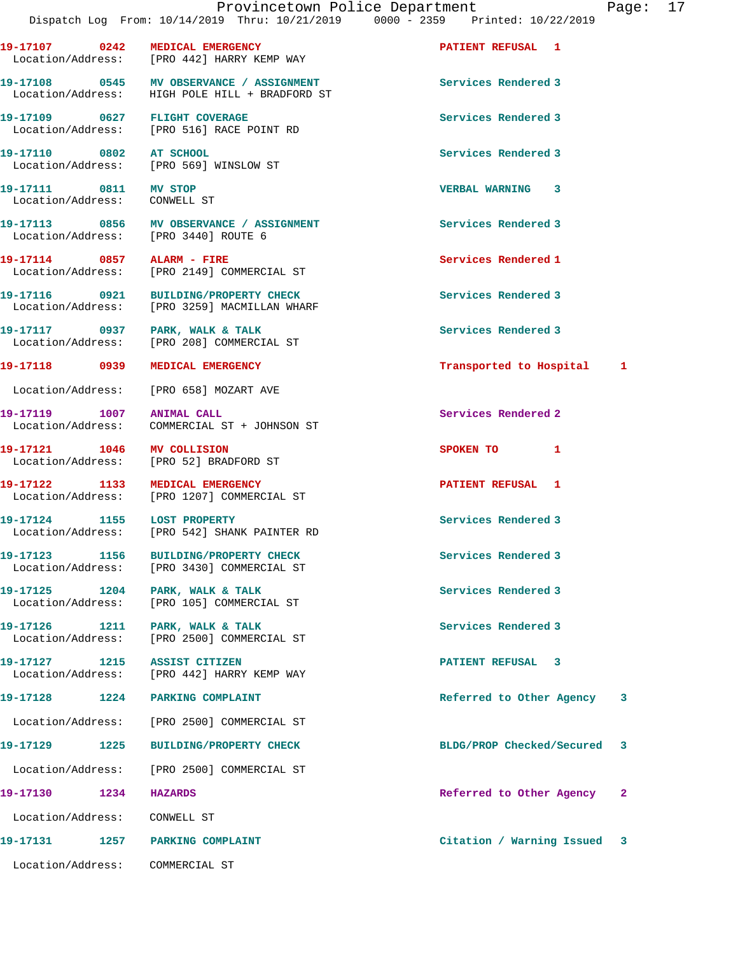**19-17107 0242 MEDICAL EMERGENCY PATIENT REFUSAL 1** 

19-17108 **0545** MV OBSERVANCE / ASSIGNMENT Services Rendered 3

Location/Address: [PRO 442] HARRY KEMP WAY

 Location/Address: HIGH POLE HILL + BRADFORD ST **19-17109 0627 FLIGHT COVERAGE Services Rendered 3**  Location/Address: [PRO 516] RACE POINT RD **19-17110 0802 AT SCHOOL Services Rendered 3**  Location/Address: [PRO 569] WINSLOW ST **19-17111 0811 MV STOP VERBAL WARNING 3**  Location/Address: CONWELL ST **19-17113 0856 MV OBSERVANCE / ASSIGNMENT Services Rendered 3**  Location/Address: [PRO 3440] ROUTE 6 **19-17114 0857 ALARM - FIRE Services Rendered 1**  Location/Address: [PRO 2149] COMMERCIAL ST **19-17116 0921 BUILDING/PROPERTY CHECK Services Rendered 3**  Location/Address: [PRO 3259] MACMILLAN WHARF **19-17117 0937 PARK, WALK & TALK Services Rendered 3**  Location/Address: [PRO 208] COMMERCIAL ST **19-17118 0939 MEDICAL EMERGENCY Transported to Hospital 1** Location/Address: [PRO 658] MOZART AVE **19-17119** 1007 ANIMAL CALL **19-17119** Services Rendered 2 Location/Address: COMMERCIAL ST + JOHNSON ST **19-17121 1046 MV COLLISION SPOKEN TO 1**  Location/Address: [PRO 52] BRADFORD ST **19-17122 1133 MEDICAL EMERGENCY PATIENT REFUSAL 1**  [PRO 1207] COMMERCIAL ST **19-17124 1155 LOST PROPERTY Services Rendered 3**  Location/Address: [PRO 542] SHANK PAINTER RD **19-17123 1156 BUILDING/PROPERTY CHECK Services Rendered 3**  Location/Address: [PRO 3430] COMMERCIAL ST 19-17125 1204 PARK, WALK & TALK **Services Rendered 3**  Location/Address: [PRO 105] COMMERCIAL ST 19-17126 1211 PARK, WALK & TALK **1996 1211 PARK, WALK & TALK**  Location/Address: [PRO 2500] COMMERCIAL ST **19-17127 1215 ASSIST CITIZEN PATIENT REFUSAL 3**  Location/Address: [PRO 442] HARRY KEMP WAY **19-17128 1224 PARKING COMPLAINT Referred to Other Agency 3** Location/Address: [PRO 2500] COMMERCIAL ST **19-17129 1225 BUILDING/PROPERTY CHECK BLDG/PROP Checked/Secured 3** Location/Address: [PRO 2500] COMMERCIAL ST **19-17130 1234 HAZARDS Referred to Other Agency 2** Location/Address: CONWELL ST **19-17131 1257 PARKING COMPLAINT Citation / Warning Issued 3** Location/Address: COMMERCIAL ST